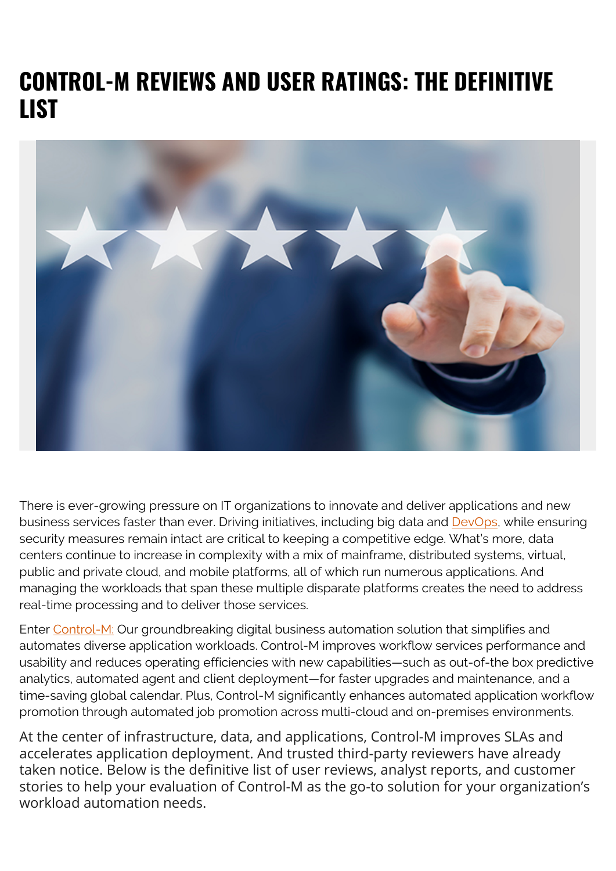# **CONTROL-M REVIEWS AND USER RATINGS: THE DEFINITIVE LIST**



There is ever-growing pressure on IT organizations to innovate and deliver applications and new business services faster than ever. Driving initiatives, including big data and [DevOps](https://blogs.bmc.com/blogs/devops-basics-introduction/), while ensuring security measures remain intact are critical to keeping a competitive edge. What's more, data centers continue to increase in complexity with a mix of mainframe, distributed systems, virtual, public and private cloud, and mobile platforms, all of which run numerous applications. And managing the workloads that span these multiple disparate platforms creates the need to address real-time processing and to deliver those services.

Enter [Control-M:](https://blogs.bmc.com/it-solutions/control-m.html) Our groundbreaking digital business automation solution that simplifies and automates diverse application workloads. Control-M improves workflow services performance and usability and reduces operating efficiencies with new capabilities—such as out-of-the box predictive analytics, automated agent and client deployment—for faster upgrades and maintenance, and a time-saving global calendar. Plus, Control-M significantly enhances automated application workflow promotion through automated job promotion across multi-cloud and on-premises environments.

At the center of infrastructure, data, and applications, Control-M improves SLAs and accelerates application deployment. And trusted third-party reviewers have already taken notice. Below is the definitive list of user reviews, analyst reports, and customer stories to help your evaluation of Control-M as the go-to solution for your organization's workload automation needs.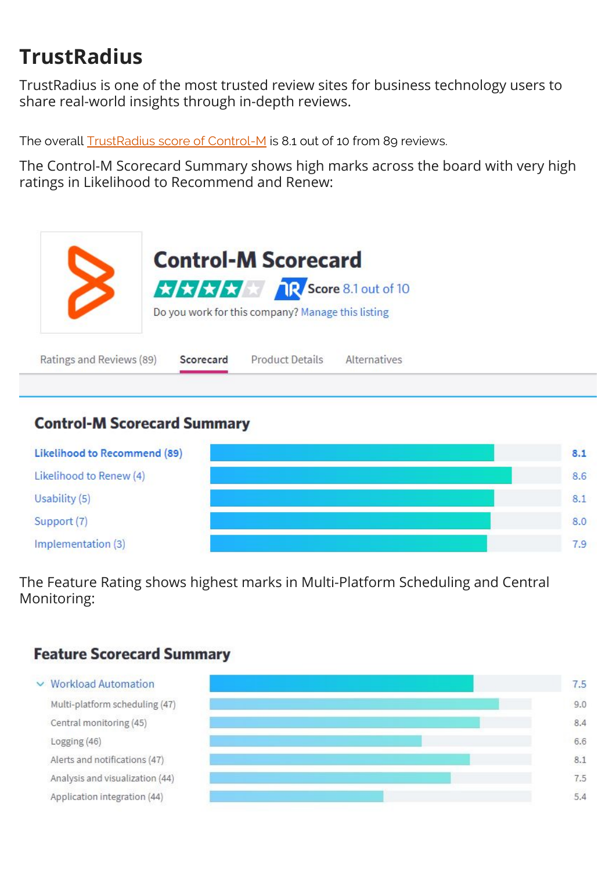## **TrustRadius**

TrustRadius is one of the most trusted review sites for business technology users to share real-world insights through in-depth reviews.

The overall [TrustRadius score of Control-M](https://www.trustradius.com/products/control-m/reviews#3) is 8.1 out of 10 from 89 reviews.

The Control-M Scorecard Summary shows high marks across the board with very high ratings in Likelihood to Recommend and Renew:



Ratings and Reviews (89)

Scorecard

**Product Details Alternatives** 

#### **Control-M Scorecard Summary**



The Feature Rating shows highest marks in Multi-Platform Scheduling and Central Monitoring:

#### **Feature Scorecard Summary**

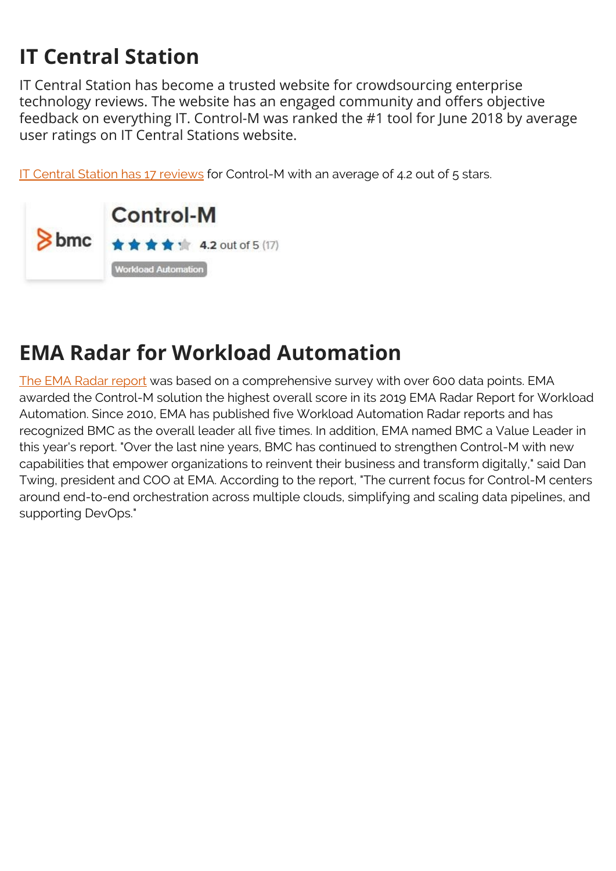## **IT Central Station**

IT Central Station has become a trusted website for crowdsourcing enterprise technology reviews. The website has an engaged community and offers objective feedback on everything IT. Control-M was ranked the #1 tool for June 2018 by average user ratings on IT Central Stations website.

[IT Central Station has 17 reviews](https://www.itcentralstation.com/products/control-m#product-reviews-section) for Control-M with an average of 4.2 out of 5 stars.



### **EMA Radar for Workload Automation**

[The EMA Radar report](https://blogs.bmc.com/forms/ema-radar-report-workload-automation.html) was based on a comprehensive survey with over 600 data points. EMA awarded the Control-M solution the highest overall score in its 2019 EMA Radar Report for Workload Automation. Since 2010, EMA has published five Workload Automation Radar reports and has recognized BMC as the overall leader all five times. In addition, EMA named BMC a Value Leader in this year's report. "Over the last nine years, BMC has continued to strengthen Control-M with new capabilities that empower organizations to reinvent their business and transform digitally," said Dan Twing, president and COO at EMA. According to the report, "The current focus for Control-M centers around end-to-end orchestration across multiple clouds, simplifying and scaling data pipelines, and supporting DevOps."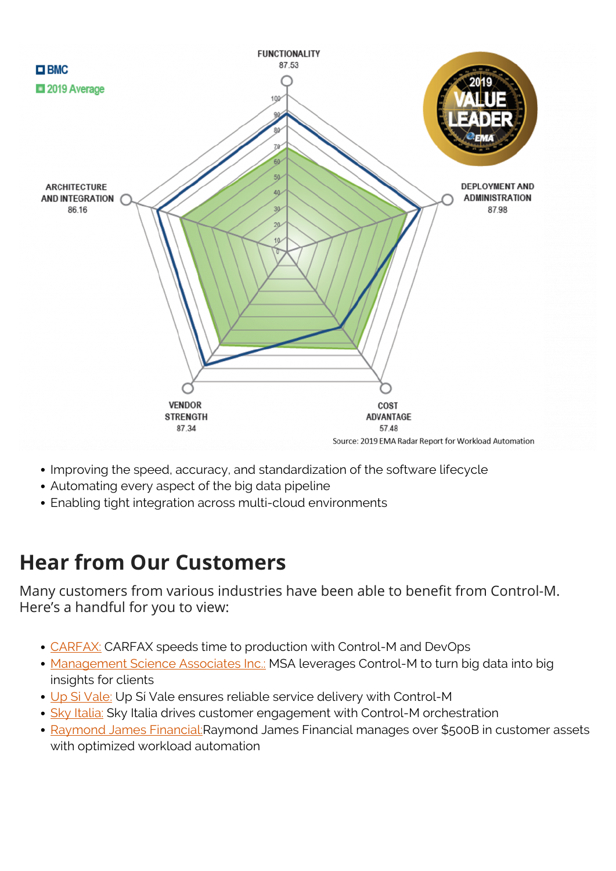

- Improving the speed, accuracy, and standardization of the software lifecycle
- Automating every aspect of the big data pipeline
- Enabling tight integration across multi-cloud environments

### **Hear from Our Customers**

Many customers from various industries have been able to benefit from Control-M. Here's a handful for you to view:

- [CARFAX:](https://blogs.bmc.com/customers/carfax.html) CARFAX speeds time to production with Control-M and DevOps
- [Management Science Associates Inc.:](https://blogs.bmc.com/customers/management-science-associates.html) MSA leverages Control-M to turn big data into big insights for clients
- [Up Si Vale:](https://blogs.bmc.com/customers/up-si-vale.html) Up Si Vale ensures reliable service delivery with Control-M
- [Sky Italia:](https://blogs.bmc.com/customers/sky-italia.html) Sky Italia drives customer engagement with Control-M orchestration
- [Raymond James Financial:](https://blogs.bmc.com/customers/raymond-james.html) Raymond James Financial manages over \$500B in customer assets with optimized workload automation